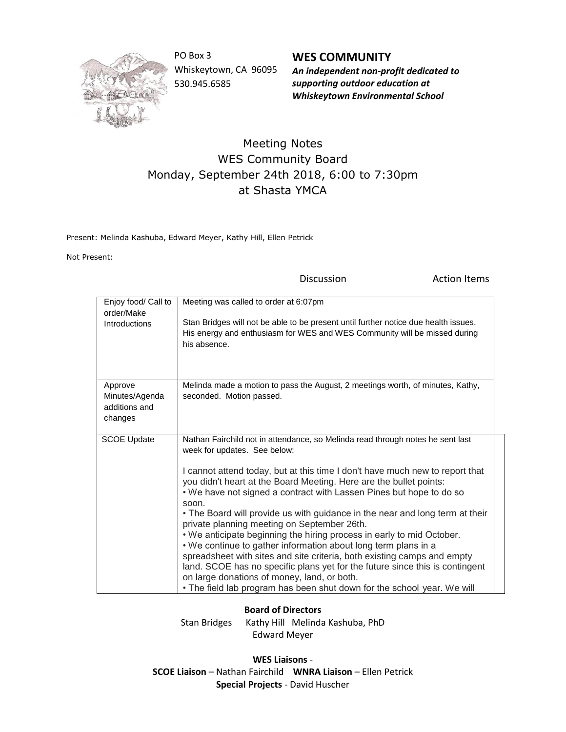

PO Box 3 Whiskeytown, CA 96095 530.945.6585

**WES COMMUNITY** *An independent non-profit dedicated to supporting outdoor education at Whiskeytown Environmental School*

## Meeting Notes WES Community Board Monday, September 24th 2018, 6:00 to 7:30pm at Shasta YMCA

Present: Melinda Kashuba, Edward Meyer, Kathy Hill, Ellen Petrick

Not Present:

Discussion **Action Items** Enjoy food/ Call to order/Make Introductions Meeting was called to order at 6:07pm Stan Bridges will not be able to be present until further notice due health issues. His energy and enthusiasm for WES and WES Community will be missed during his absence. Approve Minutes/Agenda additions and changes Melinda made a motion to pass the August, 2 meetings worth, of minutes, Kathy, seconded. Motion passed. SCOE Update | Nathan Fairchild not in attendance, so Melinda read through notes he sent last week for updates. See below: I cannot attend today, but at this time I don't have much new to report that you didn't heart at the Board Meeting. Here are the bullet points: • We have not signed a contract with Lassen Pines but hope to do so soon. • The Board will provide us with guidance in the near and long term at their private planning meeting on September 26th. • We anticipate beginning the hiring process in early to mid October. • We continue to gather information about long term plans in a spreadsheet with sites and site criteria, both existing camps and empty land. SCOE has no specific plans yet for the future since this is contingent on large donations of money, land, or both. • The field lab program has been shut down for the school year. We will

## **Board of Directors**

Stan Bridges Kathy Hill Melinda Kashuba, PhD Edward Meyer

**WES Liaisons** - **SCOE Liaison** – Nathan Fairchild **WNRA Liaison** – Ellen Petrick **Special Projects** - David Huscher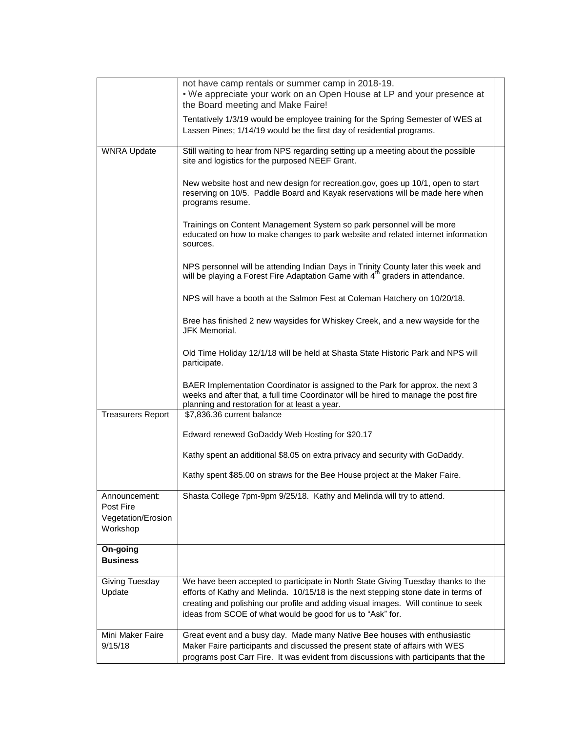|                                                              | not have camp rentals or summer camp in 2018-19.<br>. We appreciate your work on an Open House at LP and your presence at<br>the Board meeting and Make Faire!                                                                                                                                                             |
|--------------------------------------------------------------|----------------------------------------------------------------------------------------------------------------------------------------------------------------------------------------------------------------------------------------------------------------------------------------------------------------------------|
|                                                              | Tentatively 1/3/19 would be employee training for the Spring Semester of WES at<br>Lassen Pines; 1/14/19 would be the first day of residential programs.                                                                                                                                                                   |
| <b>WNRA Update</b>                                           | Still waiting to hear from NPS regarding setting up a meeting about the possible<br>site and logistics for the purposed NEEF Grant.                                                                                                                                                                                        |
|                                                              | New website host and new design for recreation.gov, goes up 10/1, open to start<br>reserving on 10/5. Paddle Board and Kayak reservations will be made here when<br>programs resume.                                                                                                                                       |
|                                                              | Trainings on Content Management System so park personnel will be more<br>educated on how to make changes to park website and related internet information<br>sources.                                                                                                                                                      |
|                                                              | NPS personnel will be attending Indian Days in Trinity County later this week and<br>will be playing a Forest Fire Adaptation Game with 4 <sup>th</sup> graders in attendance.                                                                                                                                             |
|                                                              | NPS will have a booth at the Salmon Fest at Coleman Hatchery on 10/20/18.                                                                                                                                                                                                                                                  |
|                                                              | Bree has finished 2 new waysides for Whiskey Creek, and a new wayside for the<br>JFK Memorial.                                                                                                                                                                                                                             |
|                                                              | Old Time Holiday 12/1/18 will be held at Shasta State Historic Park and NPS will<br>participate.                                                                                                                                                                                                                           |
|                                                              | BAER Implementation Coordinator is assigned to the Park for approx. the next 3<br>weeks and after that, a full time Coordinator will be hired to manage the post fire<br>planning and restoration for at least a year.                                                                                                     |
| <b>Treasurers Report</b>                                     | \$7,836.36 current balance                                                                                                                                                                                                                                                                                                 |
|                                                              | Edward renewed GoDaddy Web Hosting for \$20.17                                                                                                                                                                                                                                                                             |
|                                                              | Kathy spent an additional \$8.05 on extra privacy and security with GoDaddy.                                                                                                                                                                                                                                               |
|                                                              | Kathy spent \$85.00 on straws for the Bee House project at the Maker Faire.                                                                                                                                                                                                                                                |
| Announcement:<br>Post Fire<br>Vegetation/Erosion<br>Workshop | Shasta College 7pm-9pm 9/25/18. Kathy and Melinda will try to attend.                                                                                                                                                                                                                                                      |
| On-going                                                     |                                                                                                                                                                                                                                                                                                                            |
| <b>Business</b>                                              |                                                                                                                                                                                                                                                                                                                            |
| Giving Tuesday<br>Update                                     | We have been accepted to participate in North State Giving Tuesday thanks to the<br>efforts of Kathy and Melinda. 10/15/18 is the next stepping stone date in terms of<br>creating and polishing our profile and adding visual images. Will continue to seek<br>ideas from SCOE of what would be good for us to "Ask" for. |
| Mini Maker Faire<br>9/15/18                                  | Great event and a busy day. Made many Native Bee houses with enthusiastic<br>Maker Faire participants and discussed the present state of affairs with WES<br>programs post Carr Fire. It was evident from discussions with participants that the                                                                           |